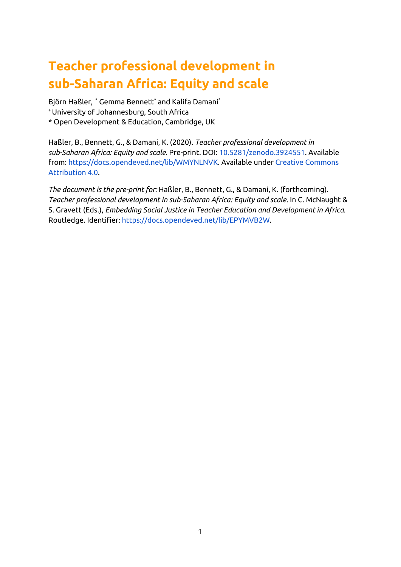# **Teacher professional development in sub-Saharan Africa: Equity and scale**

<span id="page-0-0"></span>Björn Haßler, +\* Gemma Bennett \* and Kalifa Damani \* <sup>+</sup>University of Johannesburg, South Africa \* Open Development & Education, Cambridge, UK

Haßler, B., Bennett, G., & Damani, K. (2020). *Teacher professional development in sub-Saharan Africa: Equity and scale.* Pre-print. DOI: [10.5281/zenodo.3924551](https://doi.org/10.5281/zenodo.3924551). Available from: [https://docs.opendeved.net/lib/WMYNLNVK.](https://docs.opendeved.net/lib/WMYNLNVK) Available under Creative [Commons](https://creativecommons.org/licenses/by/4.0/) [Attribution](https://creativecommons.org/licenses/by/4.0/) 4.0.

*The document is the pre-print for:* Haßler, B., Bennett, G., & Damani, K. (forthcoming). *Teacher professional development in sub-Saharan Africa: Equity and scale.* In C. McNaught & S. Gravett (Eds.), *Embedding Social Justice in Teacher Education and Development in Africa.* Routledge. Identifier: <https://docs.opendeved.net/lib/EPYMVB2W>.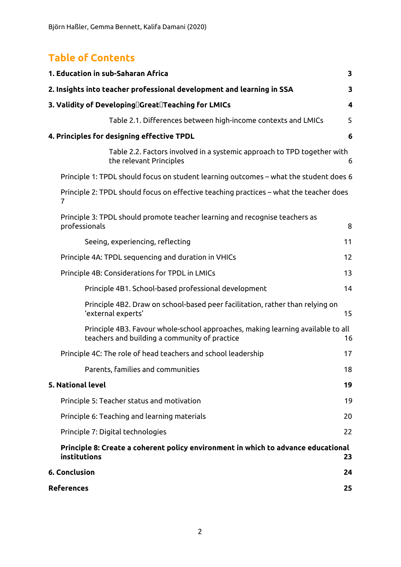### **Table of Contents**

| 1. Education in sub-Saharan Africa                                                                                               | 3                       |
|----------------------------------------------------------------------------------------------------------------------------------|-------------------------|
| 2. Insights into teacher professional development and learning in SSA                                                            | 3                       |
| 3. Validity of Developing∏Great∏Teaching for LMICs                                                                               | $\overline{\mathbf{4}}$ |
| Table 2.1. Differences between high-income contexts and LMICs                                                                    | 5                       |
| 4. Principles for designing effective TPDL                                                                                       | 6                       |
| Table 2.2. Factors involved in a systemic approach to TPD together with<br>the relevant Principles                               | 6                       |
| Principle 1: TPDL should focus on student learning outcomes - what the student does 6                                            |                         |
| Principle 2: TPDL should focus on effective teaching practices – what the teacher does<br>7                                      |                         |
| Principle 3: TPDL should promote teacher learning and recognise teachers as<br>professionals                                     | 8                       |
| Seeing, experiencing, reflecting                                                                                                 | 11                      |
| Principle 4A: TPDL sequencing and duration in VHICs                                                                              | 12                      |
| Principle 4B: Considerations for TPDL in LMICs                                                                                   | 13                      |
| Principle 4B1. School-based professional development                                                                             | 14                      |
| Principle 4B2. Draw on school-based peer facilitation, rather than relying on<br>'external experts'                              | 15                      |
| Principle 4B3. Favour whole-school approaches, making learning available to all<br>teachers and building a community of practice | 16                      |
| Principle 4C: The role of head teachers and school leadership                                                                    | 17                      |
| Parents, families and communities                                                                                                | 18                      |
| 5. National level                                                                                                                | 19                      |
| Principle 5: Teacher status and motivation                                                                                       | 19                      |
| Principle 6: Teaching and learning materials                                                                                     | 20                      |
| Principle 7: Digital technologies                                                                                                | 22                      |
| Principle 8: Create a coherent policy environment in which to advance educational<br>institutions                                | 23                      |
| 6. Conclusion                                                                                                                    | 24                      |
| References                                                                                                                       | 25                      |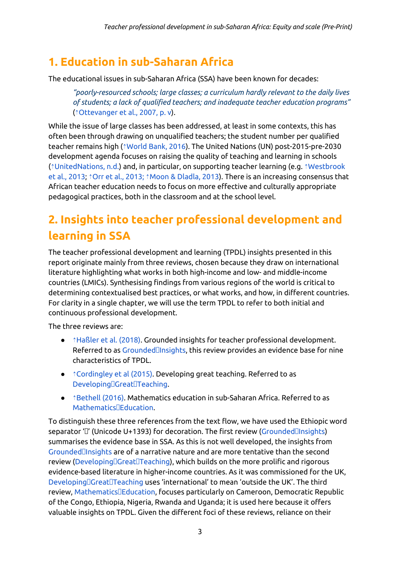## <span id="page-2-0"></span>**1. Education in sub-Saharan Africa**

The educational issues in sub-Saharan Africa (SSA) have been known for decades:

*"poorly-resourced schools; large classes; a curriculum hardly relevant to the daily lives of students; a lack of qualified teachers; and inadequate teacher education programs"* (⇡[Ottevanger](https://ref.opendeved.net/zo/zg/2129771/7/YIXZLNA8/Ottevanger%20et%20al.,%202007,%20p.%20v) et al., 2007, p. v).

While the issue of large classes has been addressed, at least in some contexts, this has often been through drawing on unqualified teachers; the student number per qualified teacher remains high (⇡[World](https://ref.opendeved.net/zo/zg/2129771/7/2L5NQ592/World%20Bank,%202016) Bank, 2016). The United Nations (UN) post-2015-pre-2030 development agenda focuses on raising the quality of teaching and learning in schools (⇡[UnitedNations,](https://ref.opendeved.net/zo/zg/2129771/7/8LP5VFLY/UnitedNations,%20n.d.) n.d.) and, in particular, on supporting teacher learning (e.g. ⇡[Westbrook](https://ref.opendeved.net/zo/zg/2129771/7/2CLIHNGB/Westbrook%20et%20al.,%202013) et al., [2013;](https://ref.opendeved.net/zo/zg/2129771/7/2CLIHNGB/Westbrook%20et%20al.,%202013) ⇡Orr et al., [2013;](https://ref.opendeved.net/zo/zg/2129771/7/F4Q5DIY8/Orr%20et%20al.,%202013;) ⇡Moon & [Dladla,](https://ref.opendeved.net/zo/zg/2129771/7/AS5DFL78/Moon%20&%20Dladla,%202013) 2013). There is an increasing consensus that African teacher education needs to focus on more effective and culturally appropriate pedagogical practices, both in the classroom and at the school level.

# <span id="page-2-1"></span>**2. Insights into teacher professional development and learning in SSA**

The teacher professional development and learning (TPDL) insights presented in this report originate mainly from three reviews, chosen because they draw on international literature highlighting what works in both high-income and low- and middle-income countries (LMICs). Synthesising findings from various regions of the world is critical to determining contextualised best practices, or what works, and how, in different countries. For clarity in a single chapter, we will use the term TPDL to refer to both initial and continuous professional development.

The three reviews are:

- **↑[Haßler](https://ref.opendeved.net/zo/zg/2129771/7/D2GQYC5S/Ha%C3%9Fler%20et%20al.%20(2018)) et al. (2018). Grounded insights for teacher professional development.** Referred to as GroundedDInsights, this review provides an evidence base for nine characteristics of TPDL.
- <u>↑[Cordingley](https://ref.opendeved.net/zo/zg/2129771/7/CKLKGP4I/Cordingley%20et%20al%20(2015)) et al (2015</u>). Developing great teaching. Referred to as Developing[Great[Teaching.
- $\bullet$   $\hat{\ }$ [Bethell](https://ref.opendeved.net/zo/zg/2129771/7/Q6AKLC6Z/Bethell%20(2016)) (2016). Mathematics education in sub-Saharan Africa. Referred to as Mathematics<sup>[</sup>Education.]

To distinguish these three references from the text flow, we have used the Ethiopic word separator 'I' (Unicode U+1393) for decoration. The first review (GroundedIlnsights) summarises the evidence base in SSA. As this is not well developed, the insights from [GroundedInsights](https://ref.opendeved.net/zo/zg/2129771/7/D2GQYC5S/Grounded%E1%8E%93Insights) are of a narrative nature and are more tentative than the second review (Developing Creat Teaching), which builds on the more prolific and rigorous evidence-based literature in higher-income countries. As it was commissioned for the UK, DevelopingDGreatDTeaching uses 'international' to mean 'outside the UK'. The third review, [MathematicsEducation](https://ref.opendeved.net/zo/zg/2129771/7/Q6AKLC6Z/Mathematics%E1%8E%93Education), focuses particularly on Cameroon, Democratic Republic of the Congo, Ethiopia, Nigeria, Rwanda and Uganda; it is used here because it offers valuable insights on TPDL. Given the different foci of these reviews, reliance on their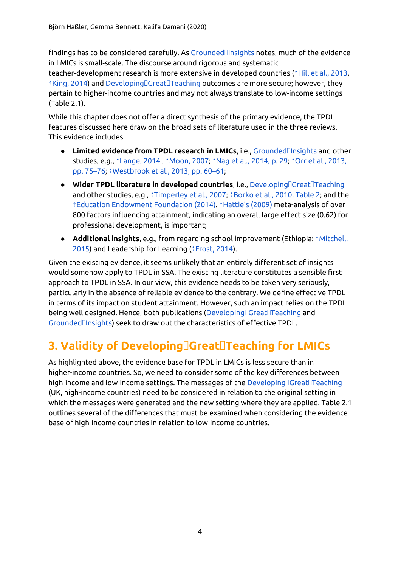findings has to be considered carefully. As [GroundedInsights](https://ref.opendeved.net/zo/zg/2129771/7/D2GQYC5S/Grounded%E1%8E%93Insights) notes, much of the evidence in LMICs is small-scale. The discourse around rigorous and systematic

teacher-development research is more extensive in developed countries ( $\hat{i}$ Hill et al., [2013,](https://ref.opendeved.net/zo/zg/2129771/7/MF7TTMV3/Hill%20et%20al.,%202013)  $\hat{\phi}$ [King,](https://ref.opendeved.net/zo/zg/2129771/7/ER4FLQXR/King,%202014) 2014) and Developing $\Box$ Great $\Box$ Teaching outcomes are more secure; however, they pertain to higher-income countries and may not always translate to low-income settings (Table 2.1).

While this chapter does not offer a direct synthesis of the primary evidence, the TPDL features discussed here draw on the broad sets of literature used in the three reviews. This evidence includes:

- **Limited evidence from TPDL research in LMICs**, i.e., [GroundedInsights](https://ref.opendeved.net/zo/zg/2129771/7/D2GQYC5S/Grounded%E1%8E%93Insights) and other studies, e.g., ⇡[Lange,](https://ref.opendeved.net/zo/zg/2129771/7/95VP3EV5/Lange,%202014) 2014 ; ⇡[Moon,](https://ref.opendeved.net/zo/zg/2129771/7/CZ2RVZ64/Moon,%202007) 2007; ⇡Nag et al., [2014,](https://ref.opendeved.net/zo/zg/2129771/7/H97YCZWA/Nag%20et%20al.,%202014,%20p.%2029) p. 29; ⇡Orr et al., [2013,](https://ref.opendeved.net/zo/zg/2129771/7/F4Q5DIY8/Orr%20et%20al.,%202013,%20pp.%2075%E2%80%9376) pp. [75–76;](https://ref.opendeved.net/zo/zg/2129771/7/F4Q5DIY8/Orr%20et%20al.,%202013,%20pp.%2075%E2%80%9376) ⇡[Westbrook](https://ref.opendeved.net/zo/zg/2129771/7/2CLIHNGB/Westbrook%20et%20al.,%202013,%20pp.%2060%E2%80%9361) et al., 2013, pp. 60–61;
- **Wider TPDL literature in developed countries, i.e., Developing Creat Treaching** and other studies, e.g., ⇡[Timperley](https://ref.opendeved.net/zo/zg/2129771/7/BHN2ZGRK/Timperley%20et%20al.,%202007) et al., 2007; ⇡[Borko](https://ref.opendeved.net/zo/zg/2129771/7/5W2ZBF55/Borko%20et%20al.,%202010,%20Table%202) et al., 2010, Table 2; and the ⇡Education [Endowment](https://ref.opendeved.net/zo/zg/2129771/7/9WDHUTIB/Education%20Endowment%20Foundation%20(2014)) Foundation (2014). ⇡[Hattie's](https://ref.opendeved.net/zo/zg/2129771/7/PPCF22FX/Hattie%E2%80%99s%20(2009)) (2009) meta-analysis of over 800 factors influencing attainment, indicating an overall large effect size (0.62) for professional development, is important;
- **Additional insights**, e.g., from regarding school improvement (Ethiopia: ⇡[Mitchell,](https://ref.opendeved.net/zo/zg/2129771/7/MVRXKKZX/Mitchell,%202015) [2015\)](https://ref.opendeved.net/zo/zg/2129771/7/MVRXKKZX/Mitchell,%202015) and Leadership for Learning (⇡[Frost,](https://ref.opendeved.net/zo/zg/2129771/7/AFF4GJR3/Frost,%202014) 2014).

Given the existing evidence, it seems unlikely that an entirely different set of insights would somehow apply to TPDL in SSA. The existing literature constitutes a sensible first approach to TPDL in SSA. In our view, this evidence needs to be taken very seriously, particularly in the absence of reliable evidence to the contrary. We define effective TPDL in terms of its impact on student attainment. However, such an impact relies on the TPDL being well designed. Hence, both publications (Developing Creat Teaching and [GroundedInsights\)](https://ref.opendeved.net/zo/zg/2129771/7/D2GQYC5S/Grounded%E1%8E%93Insights) seek to draw out the characteristics of effective TPDL.

## **3. Validity of [DevelopingGreatTeaching](https://ref.opendeved.net/zo/zg/2129771/7/CKLKGP4I/Developing%E1%8E%93Great%E1%8E%93Teaching) for LMICs**

As highlighted above, the evidence base for TPDL in LMICs is less secure than in higher-income countries. So, we need to consider some of the key differences between high-income and low-income settings. The messages of the  $\sf Developing \Box \sf Great \Box \sf Teaching$ (UK, high-income countries) need to be considered in relation to the original setting in which the messages were generated and the new setting where they are applied. Table 2.1 outlines several of the differences that must be examined when considering the evidence base of high-income countries in relation to low-income countries.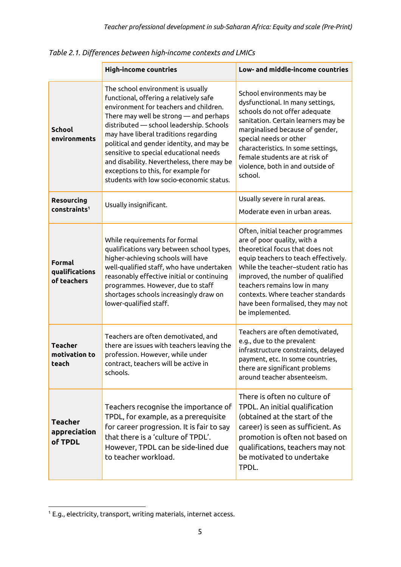|                                           | <b>High-income countries</b>                                                                                                                                                                                                                                                                                                                                                                                                                                                 | Low- and middle-income countries                                                                                                                                                                                                                                                                                                                      |
|-------------------------------------------|------------------------------------------------------------------------------------------------------------------------------------------------------------------------------------------------------------------------------------------------------------------------------------------------------------------------------------------------------------------------------------------------------------------------------------------------------------------------------|-------------------------------------------------------------------------------------------------------------------------------------------------------------------------------------------------------------------------------------------------------------------------------------------------------------------------------------------------------|
| <b>School</b><br>environments             | The school environment is usually<br>functional, offering a relatively safe<br>environment for teachers and children.<br>There may well be strong - and perhaps<br>distributed — school leadership. Schools<br>may have liberal traditions regarding<br>political and gender identity, and may be<br>sensitive to special educational needs<br>and disability. Nevertheless, there may be<br>exceptions to this, for example for<br>students with low socio-economic status. | School environments may be<br>dysfunctional. In many settings,<br>schools do not offer adequate<br>sanitation. Certain learners may be<br>marginalised because of gender,<br>special needs or other<br>characteristics. In some settings,<br>female students are at risk of<br>violence, both in and outside of<br>school.                            |
| Resourcing<br>constraints <sup>1</sup>    | Usually insignificant.                                                                                                                                                                                                                                                                                                                                                                                                                                                       | Usually severe in rural areas.<br>Moderate even in urban areas.                                                                                                                                                                                                                                                                                       |
| Formal<br>qualifications<br>of teachers   | While requirements for formal<br>qualifications vary between school types,<br>higher-achieving schools will have<br>well-qualified staff, who have undertaken<br>reasonably effective initial or continuing<br>programmes. However, due to staff<br>shortages schools increasingly draw on<br>lower-qualified staff.                                                                                                                                                         | Often, initial teacher programmes<br>are of poor quality, with a<br>theoretical focus that does not<br>equip teachers to teach effectively.<br>While the teacher-student ratio has<br>improved, the number of qualified<br>teachers remains low in many<br>contexts. Where teacher standards<br>have been formalised, they may not<br>be implemented. |
| <b>Teacher</b><br>motivation to<br>teach  | Teachers are often demotivated, and<br>there are issues with teachers leaving the<br>profession. However, while under<br>contract, teachers will be active in<br>schools.                                                                                                                                                                                                                                                                                                    | Teachers are often demotivated,<br>e.g., due to the prevalent<br>infrastructure constraints, delayed<br>payment, etc. In some countries,<br>there are significant problems<br>around teacher absenteeism.                                                                                                                                             |
| <b>Teacher</b><br>appreciation<br>of TPDL | Teachers recognise the importance of<br>TPDL, for example, as a prerequisite<br>for career progression. It is fair to say<br>that there is a 'culture of TPDL'.<br>However, TPDL can be side-lined due<br>to teacher workload.                                                                                                                                                                                                                                               | There is often no culture of<br>TPDL. An initial qualification<br>(obtained at the start of the<br>career) is seen as sufficient. As<br>promotion is often not based on<br>qualifications, teachers may not<br>be motivated to undertake<br>TPDL.                                                                                                     |

<span id="page-4-0"></span>*Table 2.1. Differences between high-income contexts and LMICs*

<sup>1</sup> E.g., electricity, transport, writing materials, internet access.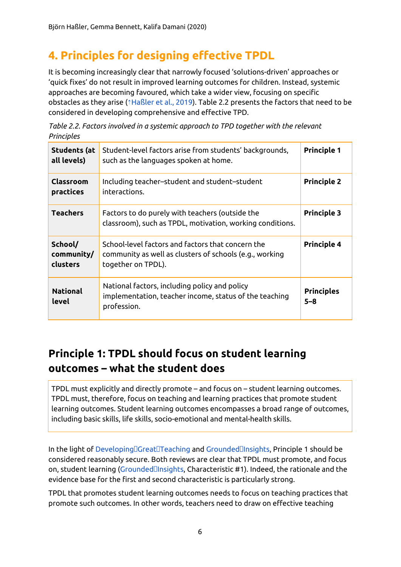## <span id="page-5-0"></span>**4. Principles for designing effective TPDL**

It is becoming increasingly clear that narrowly focused 'solutions-driven' approaches or 'quick fixes' do not result in improved learning outcomes for children. Instead, systemic approaches are becoming favoured, which take a wider view, focusing on specific obstacles as they arise (⇡[Haßler](https://ref.opendeved.net/zo/zg/2129771/7/SC8FTPC4/Ha%C3%9Fler%20et%20al.,%202019) et al., 2019). Table 2.2 presents the factors that need to be considered in developing comprehensive and effective TPD.

| Table 2.2. Factors involved in a systemic approach to TPD together with the relevant |  |
|--------------------------------------------------------------------------------------|--|
| Principles                                                                           |  |

| <b>Students (at</b><br>all levels) | Student-level factors arise from students' backgrounds,<br>such as the languages spoken at home.                                   | <b>Principle 1</b>           |
|------------------------------------|------------------------------------------------------------------------------------------------------------------------------------|------------------------------|
| Classroom<br>practices             | Including teacher-student and student-student<br>interactions.                                                                     | <b>Principle 2</b>           |
| <b>Teachers</b>                    | Factors to do purely with teachers (outside the<br>classroom), such as TPDL, motivation, working conditions.                       | <b>Principle 3</b>           |
| School/<br>community/<br>clusters  | School-level factors and factors that concern the<br>community as well as clusters of schools (e.g., working<br>together on TPDL). | <b>Principle 4</b>           |
| <b>National</b><br>level           | National factors, including policy and policy<br>implementation, teacher income, status of the teaching<br>profession.             | <b>Principles</b><br>$5 - 8$ |

### <span id="page-5-1"></span>**Principle 1: TPDL should focus on student learning outcomes – what the student does**

TPDL must explicitly and directly promote – and focus on – student learning outcomes. TPDL must, therefore, focus on teaching and learning practices that promote student learning outcomes. Student learning outcomes encompasses a broad range of outcomes, including basic skills, life skills, socio-emotional and mental-health skills.

In the light of Developing[]Great[]Teaching and Grounded[]Insights, Principle 1 should be considered reasonably secure. Both reviews are clear that TPDL must promote, and focus on, student learning (Grounded**Ilnsights, Characteristic #1)**. Indeed, the rationale and the evidence base for the first and second characteristic is particularly strong.

TPDL that promotes student learning outcomes needs to focus on teaching practices that promote such outcomes. In other words, teachers need to draw on effective teaching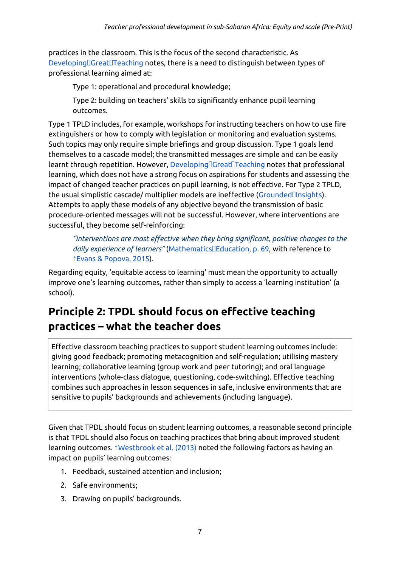practices in the classroom. This is the focus of the second characteristic. As Developing Great Teaching notes, there is a need to distinguish between types of professional learning aimed at:

Type 1: operational and procedural knowledge;

Type 2: building on teachers' skills to significantly enhance pupil learning outcomes.

Type 1 TPLD includes, for example, workshops for instructing teachers on how to use fire extinguishers or how to comply with legislation or monitoring and evaluation systems. Such topics may only require simple briefings and group discussion. Type 1 goals lend themselves to a cascade model; the transmitted messages are simple and can be easily learnt through repetition. However, Developing Creat Teaching notes that professional learning, which does not have a strong focus on aspirations for students and assessing the impact of changed teacher practices on pupil learning, is not effective. For Type 2 TPLD, the usual simplistic cascade/ multiplier models are ineffective [\(GroundedInsights\)](https://ref.opendeved.net/zo/zg/2129771/7/D2GQYC5S/Grounded%E1%8E%93Insights). Attempts to apply these models of any objective beyond the transmission of basic procedure-oriented messages will not be successful. However, where interventions are successful, they become self-reinforcing:

*"interventions are most effective when they bring significant, positive changes to the daily experience of learners"* ([MathematicsEducation,](https://ref.opendeved.net/zo/zg/2129771/7/Q6AKLC6Z/Mathematics%E1%8E%93Education,%20p.%2069) p. 69, with reference to ⇡Evans & [Popova,](https://ref.opendeved.net/zo/zg/2129771/7/M5FBWHYT/Evans%20&%20Popova,%202015) 2015).

Regarding equity, 'equitable access to learning' must mean the opportunity to actually improve one's learning outcomes, rather than simply to access a 'learning institution' (a school).

### <span id="page-6-0"></span>**Principle 2: TPDL should focus on effective teaching practices – what the teacher does**

Effective classroom teaching practices to support student learning outcomes include: giving good feedback; promoting metacognition and self-regulation; utilising mastery learning; collaborative learning (group work and peer tutoring); and oral language interventions (whole-class dialogue, questioning, code-switching). Effective teaching combines such approaches in lesson sequences in safe, inclusive environments that are sensitive to pupils' backgrounds and achievements (including language).

Given that TPDL should focus on student learning outcomes, a reasonable second principle is that TPDL should also focus on teaching practices that bring about improved student learning outcomes. ⇡[Westbrook](https://ref.opendeved.net/zo/zg/2129771/7/2CLIHNGB/Westbrook%20et%20al.%20(2013)) et al. (2013) noted the following factors as having an impact on pupils' learning outcomes:

- 1. Feedback, sustained attention and inclusion;
- 2. Safe environments;
- 3. Drawing on pupils' backgrounds.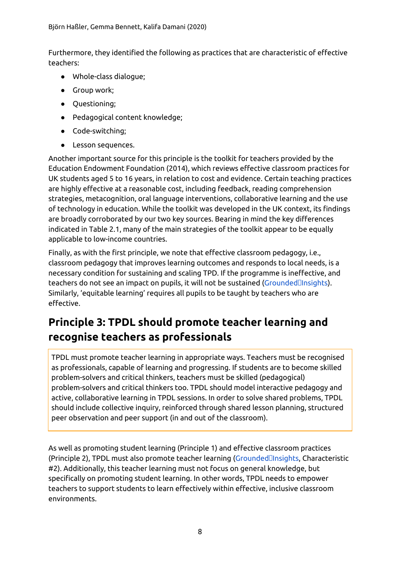Furthermore, they identified the following as practices that are characteristic of effective teachers:

- Whole-class dialogue;
- Group work;
- Questioning;
- Pedagogical content knowledge;
- Code-switching;
- Lesson sequences.

Another important source for this principle is the toolkit for teachers provided by the Education Endowment Foundation (2014), which reviews effective classroom practices for UK students aged 5 to 16 years, in relation to cost and evidence. Certain teaching practices are highly effective at a reasonable cost, including feedback, reading comprehension strategies, metacognition, oral language interventions, collaborative learning and the use of technology in education. While the toolkit was developed in the UK context, its findings are broadly corroborated by our two key sources. Bearing in mind the key differences indicated in Table 2.1, many of the main strategies of the toolkit appear to be equally applicable to low-income countries.

Finally, as with the first principle, we note that effective classroom pedagogy, i.e., classroom pedagogy that improves learning outcomes and responds to local needs, is a necessary condition for sustaining and scaling TPD. If the programme is ineffective, and teachers do not see an impact on pupils, it will not be sustained [\(GroundedInsights](https://ref.opendeved.net/zo/zg/2129771/7/D2GQYC5S/Grounded%E1%8E%93Insights)). Similarly, 'equitable learning' requires all pupils to be taught by teachers who are effective.

## <span id="page-7-0"></span>**Principle 3: TPDL should promote teacher learning and recognise teachers as professionals**

TPDL must promote teacher learning in appropriate ways. Teachers must be recognised as professionals, capable of learning and progressing. If students are to become skilled problem-solvers and critical thinkers, teachers must be skilled (pedagogical) problem-solvers and critical thinkers too. TPDL should model interactive pedagogy and active, collaborative learning in TPDL sessions. In order to solve shared problems, TPDL should include collective inquiry, reinforced through shared lesson planning, structured peer observation and peer support (in and out of the classroom).

As well as promoting student learning (Principle 1) and effective classroom practices (Principle 2), TPDL must also promote teacher learning [\(GroundedInsights](https://ref.opendeved.net/zo/zg/2129771/7/D2GQYC5S/Grounded%E1%8E%93Insights), Characteristic #2). Additionally, this teacher learning must not focus on general knowledge, but specifically on promoting student learning. In other words, TPDL needs to empower teachers to support students to learn effectively within effective, inclusive classroom environments.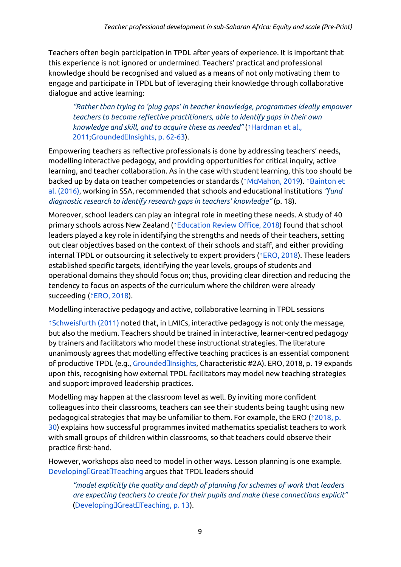Teachers often begin participation in TPDL after years of experience. It is important that this experience is not ignored or undermined. Teachers' practical and professional knowledge should be recognised and valued as a means of not only motivating them to engage and participate in TPDL but of leveraging their knowledge through collaborative dialogue and active learning:

*"Rather than trying to 'plug gaps' in teacher knowledge, programmes ideally empower teachers to become reflective practitioners, able to identify gaps in their own knowledge and skill, and to acquire these as needed"* (⇡[Hardman](https://ref.opendeved.net/zo/zg/2129771/7/NCXUKWK4/Hardman%20et%20al.,%202011) et al., [2011;](https://ref.opendeved.net/zo/zg/2129771/7/NCXUKWK4/Hardman%20et%20al.,%202011)Grounded<sup>[]</sup>Insights, p. 62-63).

Empowering teachers as reflective professionals is done by addressing teachers' needs, modelling interactive pedagogy, and providing opportunities for critical inquiry, active learning, and teacher collaboration. As in the case with student learning, this too should be backed up by data on teacher competencies or standards (⇡[McMahon,](https://ref.opendeved.net/zo/zg/2129771/7/WGM6G22X/McMahon,%202019) 2019). ⇡[Bainton](https://ref.opendeved.net/zo/zg/2129771/7/456C4HCM/Bainton%20et%20al.%20(2016)) et al. [\(2016\)](https://ref.opendeved.net/zo/zg/2129771/7/456C4HCM/Bainton%20et%20al.%20(2016)), working in SSA, recommended that schools and educational institutions *"fund diagnostic research to identify research gaps in teachers' knowledge"* (p. 18).

Moreover, school leaders can play an integral role in meeting these needs. A study of 40 primary schools across New Zealand (*<u>†[Education](https://ref.opendeved.net/zo/zg/2129771/7/BGVQ2RRP/Education%20Review%20Office,%202018) Review Office</u>, 2018*) found that school leaders played a key role in identifying the strengths and needs of their teachers, setting out clear objectives based on the context of their schools and staff, and either providing internal TPDL or outsourcing it selectively to expert providers ( $*ERO$ , [2018\)](https://ref.opendeved.net/zo/zg/2129771/7/BGVQ2RRP/ERO,%202018). These leaders established specific targets, identifying the year levels, groups of students and operational domains they should focus on; thus, providing clear direction and reducing the tendency to focus on aspects of the curriculum where the children were already succeeding (*<u>ERO, [2018](https://ref.opendeved.net/zo/zg/2129771/7/BGVQ2RRP/ERO,%202018)</u>)*.

Modelling interactive pedagogy and active, collaborative learning in TPDL sessions

⇡[Schweisfurth](https://ref.opendeved.net/zo/zg/2129771/7/EC9IQLP9/Schweisfurth%20(2011)) (2011) noted that, in LMICs, interactive pedagogy is not only the message, but also the medium. Teachers should be trained in interactive, learner-centred pedagogy by trainers and facilitators who model these instructional strategies. The literature unanimously agrees that modelling effective teaching practices is an essential component of productive TPDL (e.g., Grounded**Ilnsights, Characteristic #2A). ERO, 2018**, p. 19 expands upon this, recognising how external TPDL facilitators may model new teaching strategies and support improved leadership practices.

Modelling may happen at the classroom level as well. By inviting more confident colleagues into their classrooms, teachers can see their students being taught using new pedagogical strategies that may be unfamiliar to them. For example, the ERO (⇡[2018,](https://ref.opendeved.net/zo/zg/2129771/7/BGVQ2RRP/(2018,%20p.%2030)) p. [30\)](https://ref.opendeved.net/zo/zg/2129771/7/BGVQ2RRP/(2018,%20p.%2030)) explains how successful programmes invited mathematics specialist teachers to work with small groups of children within classrooms, so that teachers could observe their practice first-hand.

However, workshops also need to model in other ways. Lesson planning is one example. Developing Great Teaching argues that TPDL leaders should

*"model explicitly the quality and depth of planning for schemes of work that leaders are expecting teachers to create for their pupils and make these connections explicit"* ([DevelopingGreatTeaching,](https://ref.opendeved.net/zo/zg/2129771/7/CKLKGP4I/%E2%9F%A6zg:2129771:CKLKGP4I%7CDeveloping%E1%8E%93Great%E1%8E%93Teaching,%20p.%2013)) p. 13).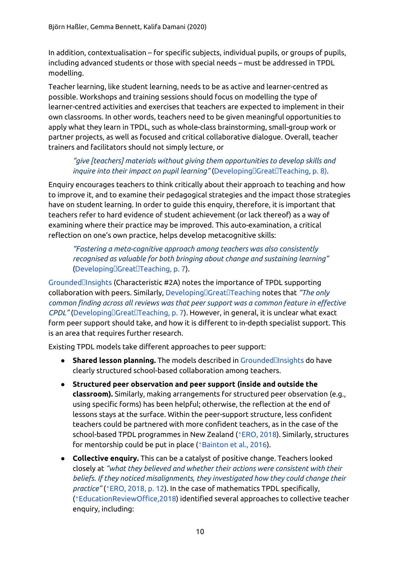In addition, contextualisation – for specific subjects, individual pupils, or groups of pupils, including advanced students or those with special needs – must be addressed in TPDL modelling.

Teacher learning, like student learning, needs to be as active and learner-centred as possible. Workshops and training sessions should focus on modelling the type of learner-centred activities and exercises that teachers are expected to implement in their own classrooms. In other words, teachers need to be given meaningful opportunities to apply what they learn in TPDL, such as whole-class brainstorming, small-group work or partner projects, as well as focused and critical collaborative dialogue. Overall, teacher trainers and facilitators should not simply lecture, or

#### *"give [teachers] materials without giving them opportunities to develop skills and inquire into their impact on pupil learning"* (Developing[Great[Teaching, p. 8).

Enquiry encourages teachers to think critically about their approach to teaching and how to improve it, and to examine their pedagogical strategies and the impact those strategies have on student learning. In order to guide this enquiry, therefore, it is important that teachers refer to hard evidence of student achievement (or lack thereof) as a way of examining where their practice may be improved. This auto-examination, a critical reflection on one's own practice, helps develop metacognitive skills:

*"Fostering a meta-cognitive approach among teachers was also consistently recognised as valuable for both bringing about change and sustaining learning"* ([DevelopingGreatTeaching,](https://ref.opendeved.net/zo/zg/2129771/7/CKLKGP4I/%E2%9F%A6zg:2129771:CKLKGP4I%7CDeveloping%E1%8E%93Great%E1%8E%93Teaching,%20p.%207) p. 7).

[GroundedInsights](https://ref.opendeved.net/zo/zg/2129771/7/D2GQYC5S/Grounded%E1%8E%93Insights) (Characteristic #2A) notes the importance of TPDL supporting collaboration with peers. Similarly, [DevelopingGreatTeaching](https://ref.opendeved.net/zo/zg/2129771/7/CKLKGP4I/Developing%E1%8E%93Great%E1%8E%93Teaching) notes that *"The only common finding across all reviews was that peer support was a common feature in effective CPDL"* (Developing Great Teaching, p. 7). However, in general, it is unclear what exact form peer support should take, and how it is different to in-depth specialist support. This is an area that requires further research.

Existing TPDL models take different approaches to peer support:

- **Shared lesson planning.** The models described in [GroundedInsights](https://ref.opendeved.net/zo/zg/2129771/7/D2GQYC5S/Grounded%E1%8E%93Insights) do have clearly structured school-based collaboration among teachers.
- **Structured peer observation and peer support (inside and outside the classroom).** Similarly, making arrangements for structured peer observation (e.g., using specific forms) has been helpful; otherwise, the reflection at the end of lessons stays at the surface. Within the peer-support structure, less confident teachers could be partnered with more confident teachers, as in the case of the school-based TPDL programmes in New Zealand (⇡ERO, [2018](https://ref.opendeved.net/zo/zg/2129771/7/BGVQ2RRP/ERO,%202018)). Similarly, structures for mentorship could be put in place (*<u>†[Bainton](https://ref.opendeved.net/zo/zg/2129771/7/456C4HCM/Bainton%20et%20al.,%202016) et al., 2016</u>)*.
- **Collective enquiry.** This can be a catalyst of positive change. Teachers looked closely at *"what they believed and whether their actions were consistent with their beliefs. If they noticed misalignments, they investigated how they could change their practice"* (⇡ERO, [2018,](https://ref.opendeved.net/zo/zg/2129771/7/BGVQ2RRP/ERO,%202018,%20p.%2012) p. 12). In the case of mathematics TPDL specifically, (⇡[EducationReviewOffice,2018\)](https://ref.opendeved.net/zo/zg/2129771/7/BGVQ2RRP/EducationReviewOffice,2018) identified several approaches to collective teacher enquiry, including: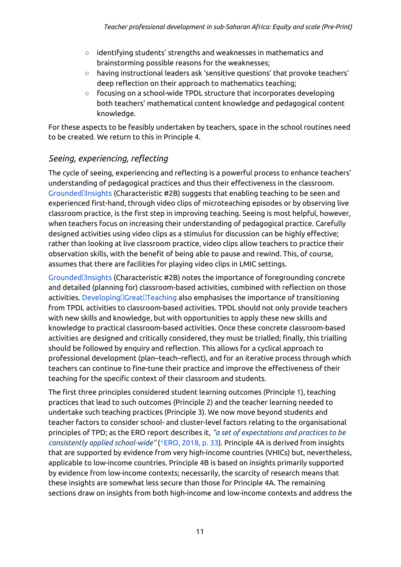- identifying students' strengths and weaknesses in mathematics and brainstorming possible reasons for the weaknesses;
- having instructional leaders ask 'sensitive questions' that provoke teachers' deep reflection on their approach to mathematics teaching;
- focusing on a school-wide TPDL structure that incorporates developing both teachers' mathematical content knowledge and pedagogical content knowledge.

For these aspects to be feasibly undertaken by teachers, space in the school routines need to be created. We return to this in Principle 4.

### <span id="page-10-0"></span>*Seeing, experiencing, reflecting*

The cycle of seeing, experiencing and reflecting is a powerful process to enhance teachers' understanding of pedagogical practices and thus their effectiveness in the classroom. [GroundedInsights](https://ref.opendeved.net/zo/zg/2129771/7/D2GQYC5S/Grounded%E1%8E%93Insights) (Characteristic #2B) suggests that enabling teaching to be seen and experienced first-hand, through video clips of microteaching episodes or by observing live classroom practice, is the first step in improving teaching. Seeing is most helpful, however, when teachers focus on increasing their understanding of pedagogical practice. Carefully designed activities using video clips as a stimulus for discussion can be highly effective; rather than looking at live classroom practice, video clips allow teachers to practice their observation skills, with the benefit of being able to pause and rewind. This, of course, assumes that there are facilities for playing video clips in LMIC settings.

[GroundedInsights](https://ref.opendeved.net/zo/zg/2129771/7/D2GQYC5S/Grounded%E1%8E%93Insights) (Characteristic #2B) notes the importance of foregrounding concrete and detailed (planning for) classroom-based activities, combined with reflection on those activities. Developing[Creat[Teaching also emphasises the importance of transitioning from TPDL activities to classroom-based activities. TPDL should not only provide teachers with new skills and knowledge, but with opportunities to apply these new skills and knowledge to practical classroom-based activities. Once these concrete classroom-based activities are designed and critically considered, they must be trialled; finally, this trialling should be followed by enquiry and reflection. This allows for a cyclical approach to professional development (plan–teach–reflect), and for an iterative process through which teachers can continue to fine-tune their practice and improve the effectiveness of their teaching for the specific context of their classroom and students.

The first three principles considered student learning outcomes (Principle 1), teaching practices that lead to such outcomes (Principle 2) and the teacher learning needed to undertake such teaching practices (Principle 3). We now move beyond students and teacher factors to consider school- and cluster-level factors relating to the organisational principles of TPD; as the ERO report describes it, *"a set of expectations and practices to be consistently applied school-wide"* (⇡ERO, [2018,](https://ref.opendeved.net/zo/zg/2129771/7/BGVQ2RRP/ERO,%202018,%20p.%2033) p. 33). Principle 4A is derived from insights that are supported by evidence from very high-income countries (VHICs) but, nevertheless, applicable to low-income countries. Principle 4B is based on insights primarily supported by evidence from low-income contexts; necessarily, the scarcity of research means that these insights are somewhat less secure than those for Principle 4A. The remaining sections draw on insights from both high-income and low-income contexts and address the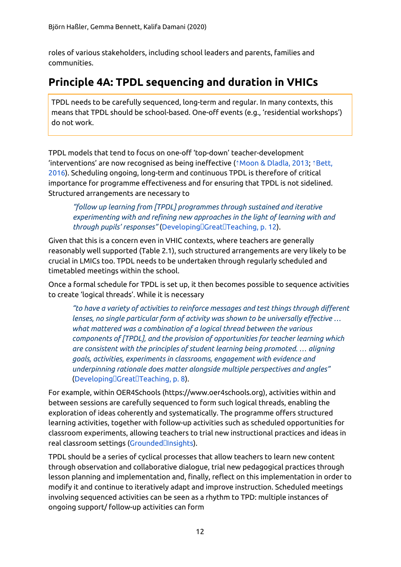roles of various stakeholders, including school leaders and parents, families and communities.

### <span id="page-11-0"></span>**Principle 4A: TPDL sequencing and duration in VHICs**

TPDL needs to be carefully sequenced, long-term and regular. In many contexts, this means that TPDL should be school-based. One-off events (e.g., 'residential workshops') do not work.

TPDL models that tend to focus on one-off 'top-down' teacher-development 'interventions' are now recognised as being ineffective (⇡Moon & [Dladla,](https://ref.opendeved.net/zo/zg/2129771/7/AS5DFL78/Moon%20&%20Dladla,%202013) 2013; ⇡[Bett,](https://ref.opendeved.net/zo/zg/2129771/7/FCRTRLM8/Bett,%202016) [2016\)](https://ref.opendeved.net/zo/zg/2129771/7/FCRTRLM8/Bett,%202016). Scheduling ongoing, long-term and continuous TPDL is therefore of critical importance for programme effectiveness and for ensuring that TPDL is not sidelined. Structured arrangements are necessary to

*"follow up learning from [TPDL] programmes through sustained and iterative experimenting with and refining new approaches in the light of learning with and through pupils' responses"* ([DevelopingGreatTeaching,](https://ref.opendeved.net/zo/zg/2129771/7/CKLKGP4I/%E2%9F%A6zg:2129771:CKLKGP4I%7CDeveloping%E1%8E%93Great%E1%8E%93Teaching,%20p.%2012) p. 12).

Given that this is a concern even in VHIC contexts, where teachers are generally reasonably well supported (Table 2.1), such structured arrangements are very likely to be crucial in LMICs too. TPDL needs to be undertaken through regularly scheduled and timetabled meetings within the school.

Once a formal schedule for TPDL is set up, it then becomes possible to sequence activities to create 'logical threads'. While it is necessary

*"to have a variety of activities to reinforce messages and test things through different lenses, no single particular form of activity was shown to be universally effective … what mattered was a combination of a logical thread between the various components of [TPDL], and the provision of opportunities for teacher learning which are consistent with the principles of student learning being promoted. … aligning goals, activities, experiments in classrooms, engagement with evidence and underpinning rationale does matter alongside multiple perspectives and angles"* ([DevelopingGreatTeaching,](https://ref.opendeved.net/zo/zg/2129771/7/CKLKGP4I/%E2%9F%A6zg:2129771:CKLKGP4I%7CDeveloping%E1%8E%93Great%E1%8E%93Teaching,%20p.%208) p. 8).

For example, within OER4Schools (https://www.oer4schools.org), activities within and between sessions are carefully sequenced to form such logical threads, enabling the exploration of ideas coherently and systematically. The programme offers structured learning activities, together with follow-up activities such as scheduled opportunities for classroom experiments, allowing teachers to trial new instructional practices and ideas in real classroom settings [\(GroundedInsights](https://ref.opendeved.net/zo/zg/2129771/7/D2GQYC5S/Grounded%E1%8E%93Insights)).

TPDL should be a series of cyclical processes that allow teachers to learn new content through observation and collaborative dialogue, trial new pedagogical practices through lesson planning and implementation and, finally, reflect on this implementation in order to modify it and continue to iteratively adapt and improve instruction. Scheduled meetings involving sequenced activities can be seen as a rhythm to TPD: multiple instances of ongoing support/ follow-up activities can form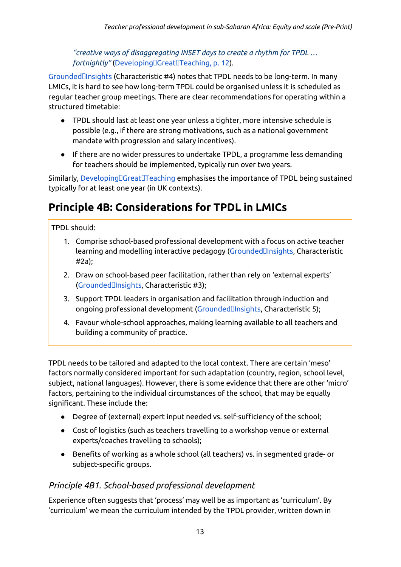*"creative ways of disaggregating INSET days to create a rhythm for TPDL … fortnightly"* (Developing<sup>[]</sup>Great<sup>[]</sup>Teaching, p. 12).

[GroundedInsights](https://ref.opendeved.net/zo/zg/2129771/7/D2GQYC5S/Grounded%E1%8E%93Insights) (Characteristic #4) notes that TPDL needs to be long-term. In many LMICs, it is hard to see how long-term TPDL could be organised unless it is scheduled as regular teacher group meetings. There are clear recommendations for operating within a structured timetable:

- TPDL should last at least one year unless a tighter, more intensive schedule is possible (e.g., if there are strong motivations, such as a national government mandate with progression and salary incentives).
- If there are no wider pressures to undertake TPDL, a programme less demanding for teachers should be implemented, typically run over two years.

Similarly, Developing Creat Teaching emphasises the importance of TPDL being sustained typically for at least one year (in UK contexts).

### <span id="page-12-0"></span>**Principle 4B: Considerations for TPDL in LMICs**

TPDL should:

- 1. Comprise school-based professional development with a focus on active teacher learning and modelling interactive pedagogy (GroundedIlnsights, Characteristic #2a);
- 2. Draw on school-based peer facilitation, rather than rely on 'external experts' [\(GroundedInsights](https://ref.opendeved.net/zo/zg/2129771/7/D2GQYC5S/Grounded%E1%8E%93Insights), Characteristic #3);
- 3. Support TPDL leaders in organisation and facilitation through induction and ongoing professional development (Grounded**Ilnsights, Characteristic 5)**;
- 4. Favour whole-school approaches, making learning available to all teachers and building a community of practice.

TPDL needs to be tailored and adapted to the local context. There are certain 'meso' factors normally considered important for such adaptation (country, region, school level, subject, national languages). However, there is some evidence that there are other 'micro' factors, pertaining to the individual circumstances of the school, that may be equally significant. These include the:

- Degree of (external) expert input needed vs. self-sufficiency of the school;
- Cost of logistics (such as teachers travelling to a workshop venue or external experts/coaches travelling to schools);
- Benefits of working as a whole school (all teachers) vs. in segmented grade- or subject-specific groups.

### <span id="page-12-1"></span>*Principle 4B1. School-based professional development*

Experience often suggests that 'process' may well be as important as 'curriculum'. By 'curriculum' we mean the curriculum intended by the TPDL provider, written down in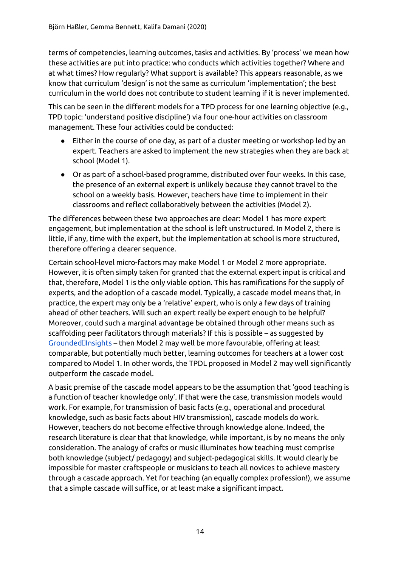terms of competencies, learning outcomes, tasks and activities. By 'process' we mean how these activities are put into practice: who conducts which activities together? Where and at what times? How regularly? What support is available? This appears reasonable, as we know that curriculum 'design' is not the same as curriculum 'implementation'; the best curriculum in the world does not contribute to student learning if it is never implemented.

This can be seen in the different models for a TPD process for one learning objective (e.g., TPD topic: 'understand positive discipline') via four one-hour activities on classroom management. These four activities could be conducted:

- Either in the course of one day, as part of a cluster meeting or workshop led by an expert. Teachers are asked to implement the new strategies when they are back at school (Model 1).
- Or as part of a school-based programme, distributed over four weeks. In this case, the presence of an external expert is unlikely because they cannot travel to the school on a weekly basis. However, teachers have time to implement in their classrooms and reflect collaboratively between the activities (Model 2).

The differences between these two approaches are clear: Model 1 has more expert engagement, but implementation at the school is left unstructured. In Model 2, there is little, if any, time with the expert, but the implementation at school is more structured, therefore offering a clearer sequence.

Certain school-level micro-factors may make Model 1 or Model 2 more appropriate. However, it is often simply taken for granted that the external expert input is critical and that, therefore, Model 1 is the only viable option. This has ramifications for the supply of experts, and the adoption of a cascade model. Typically, a cascade model means that, in practice, the expert may only be a 'relative' expert, who is only a few days of training ahead of other teachers. Will such an expert really be expert enough to be helpful? Moreover, could such a marginal advantage be obtained through other means such as scaffolding peer facilitators through materials? If this is possible – as suggested by [GroundedInsights](https://ref.opendeved.net/zo/zg/2129771/7/D2GQYC5S/Grounded%E1%8E%93Insights) – then Model 2 may well be more favourable, offering at least comparable, but potentially much better, learning outcomes for teachers at a lower cost compared to Model 1. In other words, the TPDL proposed in Model 2 may well significantly outperform the cascade model.

A basic premise of the cascade model appears to be the assumption that 'good teaching is a function of teacher knowledge only'. If that were the case, transmission models would work. For example, for transmission of basic facts (e.g., operational and procedural knowledge, such as basic facts about HIV transmission), cascade models do work. However, teachers do not become effective through knowledge alone. Indeed, the research literature is clear that that knowledge, while important, is by no means the only consideration. The analogy of crafts or music illuminates how teaching must comprise both knowledge (subject/ pedagogy) and subject-pedagogical skills. It would clearly be impossible for master craftspeople or musicians to teach all novices to achieve mastery through a cascade approach. Yet for teaching (an equally complex profession!), we assume that a simple cascade will suffice, or at least make a significant impact.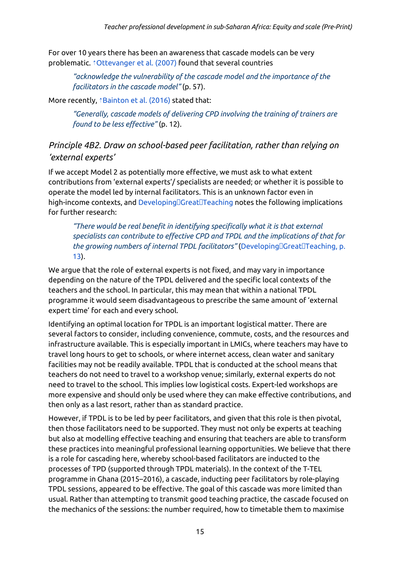For over 10 years there has been an awareness that cascade models can be very problematic. *<u>†[Ottevanger](https://ref.opendeved.net/zo/zg/2129771/7/YIXZLNA8/Ottevanger%20et%20al.%20(2007)) et al. (2007)</u>* found that several countries

*"acknowledge the vulnerability of the cascade model and the importance of the facilitators in the cascade model"* (p. 57).

More recently, *<u>Aainton et al.</u>* (2016) stated that:

*"Generally, cascade models of delivering CPD involving the training of trainers are found to be less effective"* (p. 12).

### <span id="page-14-0"></span>*Principle 4B2. Draw on school-based peer facilitation, rather than relying on 'external experts'*

If we accept Model 2 as potentially more effective, we must ask to what extent contributions from 'external experts'/ specialists are needed; or whether it is possible to operate the model led by internal facilitators. This is an unknown factor even in high-income contexts, and  $Developing[] Great[] Teaching$  notes the following implications for further research:

*"There would be real benefit in identifying specifically what it is that external specialists can contribute to effective CPD and TPDL and the implications of that for the growing numbers of internal TPDL facilitators"* [\(DevelopingGreatTeaching,](https://ref.opendeved.net/zo/zg/2129771/7/CKLKGP4I/%E2%9F%A6zg:2129771:CKLKGP4I%7CDeveloping%E1%8E%93Great%E1%8E%93Teaching,%20p.%2013) p. [13\)](https://ref.opendeved.net/zo/zg/2129771/7/CKLKGP4I/%E2%9F%A6zg:2129771:CKLKGP4I%7CDeveloping%E1%8E%93Great%E1%8E%93Teaching,%20p.%2013).

We argue that the role of external experts is not fixed, and may vary in importance depending on the nature of the TPDL delivered and the specific local contexts of the teachers and the school. In particular, this may mean that within a national TPDL programme it would seem disadvantageous to prescribe the same amount of 'external expert time' for each and every school.

Identifying an optimal location for TPDL is an important logistical matter. There are several factors to consider, including convenience, commute, costs, and the resources and infrastructure available. This is especially important in LMICs, where teachers may have to travel long hours to get to schools, or where internet access, clean water and sanitary facilities may not be readily available. TPDL that is conducted at the school means that teachers do not need to travel to a workshop venue; similarly, external experts do not need to travel to the school. This implies low logistical costs. Expert-led workshops are more expensive and should only be used where they can make effective contributions, and then only as a last resort, rather than as standard practice.

However, if TPDL is to be led by peer facilitators, and given that this role is then pivotal, then those facilitators need to be supported. They must not only be experts at teaching but also at modelling effective teaching and ensuring that teachers are able to transform these practices into meaningful professional learning opportunities. We believe that there is a role for cascading here, whereby school-based facilitators are inducted to the processes of TPD (supported through TPDL materials). In the context of the T-TEL programme in Ghana (2015–2016), a cascade, inducting peer facilitators by role-playing TPDL sessions, appeared to be effective. The goal of this cascade was more limited than usual. Rather than attempting to transmit good teaching practice, the cascade focused on the mechanics of the sessions: the number required, how to timetable them to maximise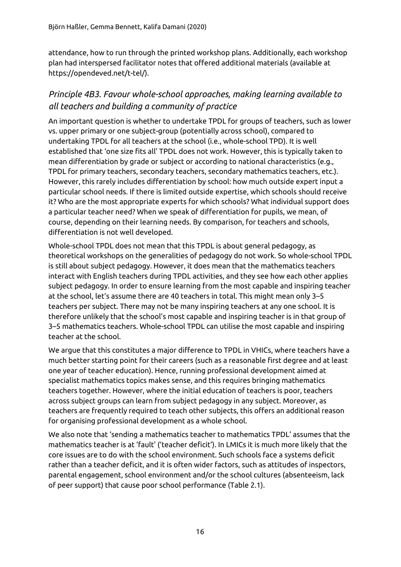attendance, how to run through the printed workshop plans. Additionally, each workshop plan had interspersed facilitator notes that offered additional materials (available at https://opendeved.net/t-tel/).

### <span id="page-15-0"></span>*Principle 4B3. Favour whole-school approaches, making learning available to all teachers and building a community of practice*

An important question is whether to undertake TPDL for groups of teachers, such as lower vs. upper primary or one subject-group (potentially across school), compared to undertaking TPDL for all teachers at the school (i.e., whole-school TPD). It is well established that 'one size fits all' TPDL does not work. However, this is typically taken to mean differentiation by grade or subject or according to national characteristics (e.g., TPDL for primary teachers, secondary teachers, secondary mathematics teachers, etc.). However, this rarely includes differentiation by school: how much outside expert input a particular school needs. If there is limited outside expertise, which schools should receive it? Who are the most appropriate experts for which schools? What individual support does a particular teacher need? When we speak of differentiation for pupils, we mean, of course, depending on their learning needs. By comparison, for teachers and schools, differentiation is not well developed.

Whole-school TPDL does not mean that this TPDL is about general pedagogy, as theoretical workshops on the generalities of pedagogy do not work. So whole-school TPDL is still about subject pedagogy. However, it does mean that the mathematics teachers interact with English teachers during TPDL activities, and they see how each other applies subject pedagogy. In order to ensure learning from the most capable and inspiring teacher at the school, let's assume there are 40 teachers in total. This might mean only 3–5 teachers per subject. There may not be many inspiring teachers at any one school. It is therefore unlikely that the school's most capable and inspiring teacher is in that group of 3–5 mathematics teachers. Whole-school TPDL can utilise the most capable and inspiring teacher at the school.

We argue that this constitutes a major difference to TPDL in VHICs, where teachers have a much better starting point for their careers (such as a reasonable first degree and at least one year of teacher education). Hence, running professional development aimed at specialist mathematics topics makes sense, and this requires bringing mathematics teachers together. However, where the initial education of teachers is poor, teachers across subject groups can learn from subject pedagogy in any subject. Moreover, as teachers are frequently required to teach other subjects, this offers an additional reason for organising professional development as a whole school.

We also note that 'sending a mathematics teacher to mathematics TPDL' assumes that the mathematics teacher is at 'fault' ('teacher deficit'). In LMICs it is much more likely that the core issues are to do with the school environment. Such schools face a systems deficit rather than a teacher deficit, and it is often wider factors, such as attitudes of inspectors, parental engagement, school environment and/or the school cultures (absenteeism, lack of peer support) that cause poor school performance (Table 2.1).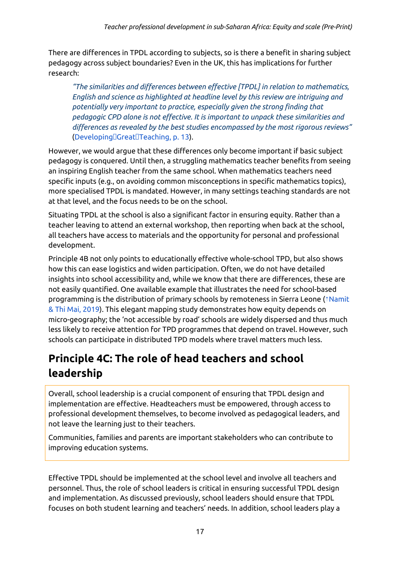There are differences in TPDL according to subjects, so is there a benefit in sharing subject pedagogy across subject boundaries? Even in the UK, this has implications for further research:

*"The similarities and differences between effective [TPDL] in relation to mathematics, English and science as highlighted at headline level by this review are intriguing and potentially very important to practice, especially given the strong finding that pedagogic CPD alone is not effective. It is important to unpack these similarities and differences as revealed by the best studies encompassed by the most rigorous reviews"* ([DevelopingGreatTeaching,](https://ref.opendeved.net/zo/zg/2129771/7/CKLKGP4I/%E2%9F%A6zg:2129771:CKLKGP4I%7CDeveloping%E1%8E%93Great%E1%8E%93Teaching,%20p.%2013) p. 13).

However, we would argue that these differences only become important if basic subject pedagogy is conquered. Until then, a struggling mathematics teacher benefits from seeing an inspiring English teacher from the same school. When mathematics teachers need specific inputs (e.g., on avoiding common misconceptions in specific mathematics topics), more specialised TPDL is mandated. However, in many settings teaching standards are not at that level, and the focus needs to be on the school.

Situating TPDL at the school is also a significant factor in ensuring equity. Rather than a teacher leaving to attend an external workshop, then reporting when back at the school, all teachers have access to materials and the opportunity for personal and professional development.

Principle 4B not only points to educationally effective whole-school TPD, but also shows how this can ease logistics and widen participation. Often, we do not have detailed insights into school accessibility and, while we know that there are differences, these are not easily quantified. One available example that illustrates the need for school-based programming is the distribution of primary schools by remoteness in Sierra Leone (⇡[Namit](https://ref.opendeved.net/zo/zg/2129771/7/WNSMNZQR/Namit%20&%20Thi%20Mai,%202019) & Thi Mai, [2019\)](https://ref.opendeved.net/zo/zg/2129771/7/WNSMNZQR/Namit%20&%20Thi%20Mai,%202019). This elegant mapping study demonstrates how equity depends on micro-geography; the 'not accessible by road' schools are widely dispersed and thus much less likely to receive attention for TPD programmes that depend on travel. However, such schools can participate in distributed TPD models where travel matters much less.

## <span id="page-16-0"></span>**Principle 4C: The role of head teachers and school leadership**

Overall, school leadership is a crucial component of ensuring that TPDL design and implementation are effective. Headteachers must be empowered, through access to professional development themselves, to become involved as pedagogical leaders, and not leave the learning just to their teachers.

Communities, families and parents are important stakeholders who can contribute to improving education systems.

Effective TPDL should be implemented at the school level and involve all teachers and personnel. Thus, the role of school leaders is critical in ensuring successful TPDL design and implementation. As discussed previously, school leaders should ensure that TPDL focuses on both student learning and teachers' needs. In addition, school leaders play a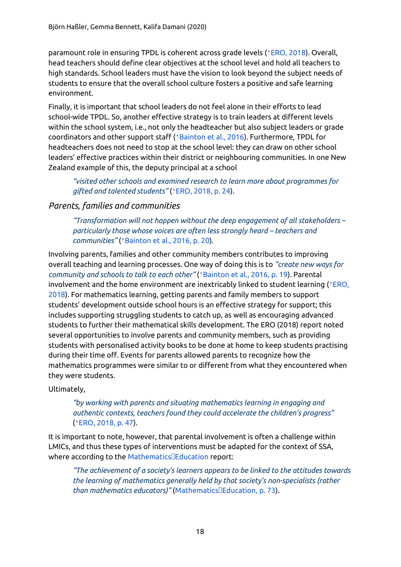paramount role in ensuring TPDL is coherent across grade levels (⇡[ERO,](https://ref.opendeved.net/zo/zg/2129771/7/BGVQ2RRP/ERO,%202018) 2018). Overall, head teachers should define clear objectives at the school level and hold all teachers to high standards. School leaders must have the vision to look beyond the subject needs of students to ensure that the overall school culture fosters a positive and safe learning environment.

Finally, it is important that school leaders do not feel alone in their efforts to lead school-wide TPDL. So, another effective strategy is to train leaders at different levels within the school system, i.e., not only the headteacher but also subject leaders or grade coordinators and other support staff (⇡[Bainton](https://ref.opendeved.net/zo/zg/2129771/7/456C4HCM/Bainton%20et%20al.,%202016) et al., 2016). Furthermore, TPDL for headteachers does not need to stop at the school level: they can draw on other school leaders' effective practices within their district or neighbouring communities. In one New Zealand example of this, the deputy principal at a school

*"visited other schools and examined research to learn more about programmes for gifted and talented students"* (⇡ERO, [2018,](https://ref.opendeved.net/zo/zg/2129771/7/BGVQ2RRP/ERO,%202018,%20p.%2024) p. 24).

### <span id="page-17-0"></span>*Parents, families and communities*

*"Transformation will not happen without the deep engagement of all stakeholders – particularly those whose voices are often less strongly heard – teachers and communities"* (⇡[Bainton](https://ref.opendeved.net/zo/zg/2129771/7/456C4HCM/Bainton%20et%20al.,%202016,%20p.%2020) et al., 2016, p. 20).

Involving parents, families and other community members contributes to improving overall teaching and learning processes. One way of doing this is to *"create new ways for community and schools to talk to each other"* (⇡[Bainton](https://ref.opendeved.net/zo/zg/2129771/7/456C4HCM/Bainton%20et%20al.,%202016,%20p.%2019) et al., 2016, p. 19). Parental involvement and the home environment are inextricably linked to student learning (⇡[ERO,](https://ref.opendeved.net/zo/zg/2129771/7/BGVQ2RRP/ERO,%202018) [2018\)](https://ref.opendeved.net/zo/zg/2129771/7/BGVQ2RRP/ERO,%202018). For mathematics learning, getting parents and family members to support students' development outside school hours is an effective strategy for support; this includes supporting struggling students to catch up, as well as encouraging advanced students to further their mathematical skills development. The ERO (2018) report noted several opportunities to involve parents and community members, such as providing students with personalised activity books to be done at home to keep students practising during their time off. Events for parents allowed parents to recognize how the mathematics programmes were similar to or different from what they encountered when they were students.

Ultimately,

#### *"by working with parents and situating mathematics learning in engaging and authentic contexts, teachers found they could accelerate the children's progress"* (⇡ERO, [2018,](https://ref.opendeved.net/zo/zg/2129771/7/BGVQ2RRP/ERO,%202018,%20p.%2047) p. 47).

It is important to note, however, that parental involvement is often a challenge within LMICs, and thus these types of interventions must be adapted for the context of SSA, where according to the Mathematics<sup>IEducation</sup> report:

*"The achievement of a society's learners appears to be linked to the attitudes towards the learning of mathematics generally held by that society's non-specialists (rather than mathematics educators)"* [\(MathematicsEducation,](https://ref.opendeved.net/zo/zg/2129771/7/Q6AKLC6Z/Mathematics%E1%8E%93Education,%20p.%2073) p. 73).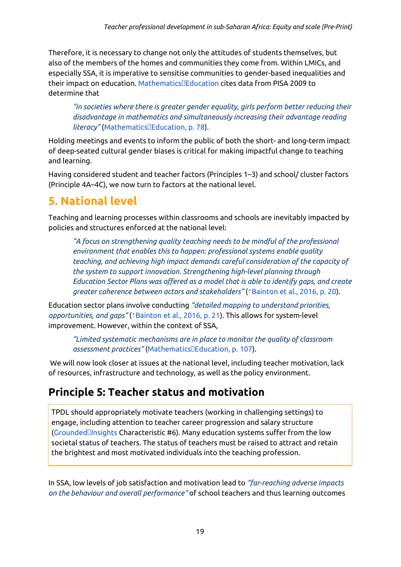Therefore, it is necessary to change not only the attitudes of students themselves, but also of the members of the homes and communities they come from. Within LMICs, and especially SSA, it is imperative to sensitise communities to gender-based inequalities and their impact on education. [MathematicsEducation](https://ref.opendeved.net/zo/zg/2129771/7/Q6AKLC6Z/Mathematics%E1%8E%93Education) cites data from PISA 2009 to determine that

*"in societies where there is greater gender equality, girls perform better reducing their disadvantage in mathematics and simultaneously increasing their advantage reading literacy"* (Mathematics<sup>[[Education, p. 78).</sup>

Holding meetings and events to inform the public of both the short- and long-term impact of deep-seated cultural gender biases is critical for making impactful change to teaching and learning.

Having considered student and teacher factors (Principles 1–3) and school/ cluster factors (Principle 4A–4C), we now turn to factors at the national level.

## **5. National level**

Teaching and learning processes within classrooms and schools are inevitably impacted by policies and structures enforced at the national level:

*"A focus on strengthening quality teaching needs to be mindful of the professional environment that enables this to happen: professional systems enable quality teaching, and achieving high impact demands careful consideration of the capacity of the system to support innovation. Strengthening high-level planning through Education Sector Plans was offered as a model that is able to identify gaps, and create greater coherence between actors and stakeholders"* (⇡[Bainton](https://ref.opendeved.net/zo/zg/2129771/7/456C4HCM/Bainton%20et%20al.,%202016,%20p.%2020) et al., 2016, p. 20).

Education sector plans involve conducting *"detailed mapping to understand priorities, opportunities, and gaps"* (⇡[Bainton](https://ref.opendeved.net/zo/zg/2129771/7/456C4HCM/Bainton%20et%20al.,%202016,%20p.%2021) et al., 2016, p. 21). This allows for system-level improvement. However, within the context of SSA,

*"Limited systematic mechanisms are in place to monitor the quality of classroom assessment practices"* [\(MathematicsEducation,](https://ref.opendeved.net/zo/zg/2129771/7/Q6AKLC6Z/Mathematics%E1%8E%93Education,%20p.%20107) p. 107).

We will now look closer at issues at the national level, including teacher motivation, lack of resources, infrastructure and technology, as well as the policy environment.

## <span id="page-18-0"></span>**Principle 5: Teacher status and motivation**

TPDL should appropriately motivate teachers (working in challenging settings) to engage, including attention to teacher career progression and salary structure  $($ Grounded $\Box$ Insights Characteristic #6). Many education systems suffer from the low societal status of teachers. The status of teachers must be raised to attract and retain the brightest and most motivated individuals into the teaching profession.

In SSA, low levels of job satisfaction and motivation lead to *"far-reaching adverse impacts on the behaviour and overall performance"* of school teachers and thus learning outcomes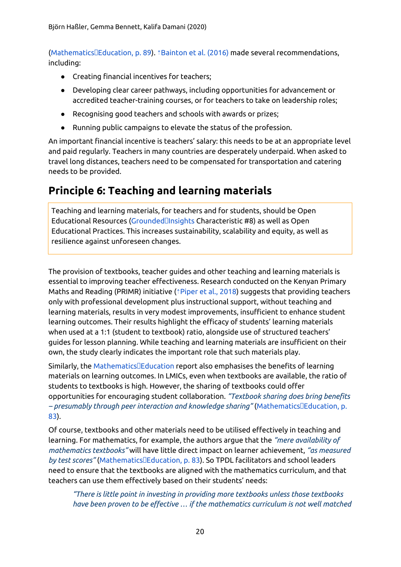([MathematicsEducation,](https://ref.opendeved.net/zo/zg/2129771/7/Q6AKLC6Z/Mathematics%E1%8E%93Education,%20p.%2089) p. 89). ⇡[Bainton](https://ref.opendeved.net/zo/zg/2129771/7/456C4HCM/Bainton%20et%20al.%20(2016)) et al. (2016) made several recommendations, including:

- Creating financial incentives for teachers;
- Developing clear career pathways, including opportunities for advancement or accredited teacher-training courses, or for teachers to take on leadership roles;
- Recognising good teachers and schools with awards or prizes;
- Running public campaigns to elevate the status of the profession.

An important financial incentive is teachers' salary: this needs to be at an appropriate level and paid regularly. Teachers in many countries are desperately underpaid. When asked to travel long distances, teachers need to be compensated for transportation and catering needs to be provided.

### <span id="page-19-0"></span>**Principle 6: Teaching and learning materials**

Teaching and learning materials, for teachers and for students, should be Open Educational Resources (GroundedDInsights Characteristic #8) as well as Open Educational Practices. This increases sustainability, scalability and equity, as well as resilience against unforeseen changes.

The provision of textbooks, teacher guides and other teaching and learning materials is essential to improving teacher effectiveness. Research conducted on the Kenyan Primary Maths and Reading (PRIMR) initiative (<sup>\*</sup>[Piper](https://ref.opendeved.net/zo/zg/2129771/7/3IIW96ZB/Piper%20et%20al.,%202018) et al., 2018) suggests that providing teachers only with professional development plus instructional support, without teaching and learning materials, results in very modest improvements, insufficient to enhance student learning outcomes. Their results highlight the efficacy of students' learning materials when used at a 1:1 (student to textbook) ratio, alongside use of structured teachers' guides for lesson planning. While teaching and learning materials are insufficient on their own, the study clearly indicates the important role that such materials play.

 $Similary$ , the Mathematics $\square$ Education report also emphasises the benefits of learning materials on learning outcomes. In LMICs, even when textbooks are available, the ratio of students to textbooks is high. However, the sharing of textbooks could offer opportunities for encouraging student collaboration. *"Textbook sharing does bring benefits – presumably through peer interaction and knowledge sharing"* ([MathematicsEducation,](https://ref.opendeved.net/zo/zg/2129771/7/Q6AKLC6Z/Mathematics%E1%8E%93Education,%20p.%2083) p. [83\)](https://ref.opendeved.net/zo/zg/2129771/7/Q6AKLC6Z/Mathematics%E1%8E%93Education,%20p.%2083).

Of course, textbooks and other materials need to be utilised effectively in teaching and learning. For mathematics, for example, the authors argue that the *"mere availability of mathematics textbooks"* will have little direct impact on learner achievement, *"as measured by test scores"* ([MathematicsEducation,](https://ref.opendeved.net/zo/zg/2129771/7/Q6AKLC6Z/Mathematics%E1%8E%93Education,%20p.%2083) p. 83). So TPDL facilitators and school leaders need to ensure that the textbooks are aligned with the mathematics curriculum, and that teachers can use them effectively based on their students' needs:

*"There is little point in investing in providing more textbooks unless those textbooks have been proven to be effective … if the mathematics curriculum is not well matched*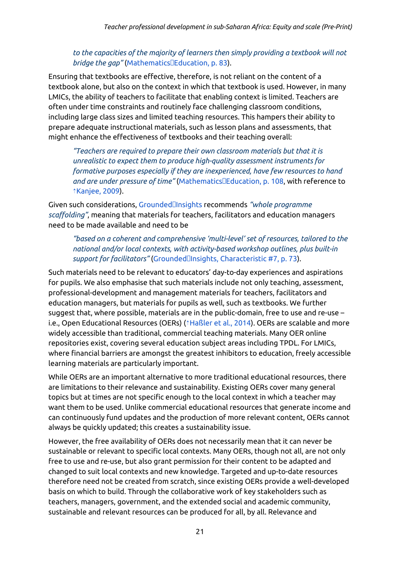#### *to the capacities of the majority of learners then simply providing a textbook will not bridge the gap*" (Mathematics<sup>[</sup>Education, p. 83).

Ensuring that textbooks are effective, therefore, is not reliant on the content of a textbook alone, but also on the context in which that textbook is used. However, in many LMICs, the ability of teachers to facilitate that enabling context is limited. Teachers are often under time constraints and routinely face challenging classroom conditions, including large class sizes and limited teaching resources. This hampers their ability to prepare adequate instructional materials, such as lesson plans and assessments, that might enhance the effectiveness of textbooks and their teaching overall:

*"Teachers are required to prepare their own classroom materials but that it is unrealistic to expect them to produce high-quality assessment instruments for formative purposes especially if they are inexperienced, have few resources to hand and are under pressure of time"* ([MathematicsEducation,](https://ref.opendeved.net/zo/zg/2129771/7/Q6AKLC6Z/Mathematics%E1%8E%93Education,%20p.%20108) p. 108, with reference to ⇡[Kanjee,](https://ref.opendeved.net/zo/zg/2129771/7/KUUDIVCI/Kanjee,%202009) 2009).

Given such considerations, [GroundedInsights](https://ref.opendeved.net/zo/zg/2129771/7/D2GQYC5S/Grounded%E1%8E%93Insights) recommends *"whole programme scaffolding"*, meaning that materials for teachers, facilitators and education managers need to be made available and need to be

*"based on a coherent and comprehensive 'multi-level' set of resources, tailored to the national and/or local contexts, with activity-based workshop outlines, plus built-in support for facilitators"* ([GroundedInsights,](https://ref.opendeved.net/zo/zg/2129771/7/D2GQYC5S/Grounded%E1%8E%93Insights,%20Characteristic%20#7,%20p.%2073) Characteristic #7, p. 73).

Such materials need to be relevant to educators' day-to-day experiences and aspirations for pupils. We also emphasise that such materials include not only teaching, assessment, professional-development and management materials for teachers, facilitators and education managers, but materials for pupils as well, such as textbooks. We further suggest that, where possible, materials are in the public-domain, free to use and re-use – i.e., Open Educational Resources (OERs) (⇡[Haßler](https://ref.opendeved.net/zo/zg/2129771/7/GLH7AU4K/Ha%C3%9Fler%20et%20al.,%202014) et al., 2014). OERs are scalable and more widely accessible than traditional, commercial teaching materials. Many OER online repositories exist, covering several education subject areas including TPDL. For LMICs, where financial barriers are amongst the greatest inhibitors to education, freely accessible learning materials are particularly important.

While OERs are an important alternative to more traditional educational resources, there are limitations to their relevance and sustainability. Existing OERs cover many general topics but at times are not specific enough to the local context in which a teacher may want them to be used. Unlike commercial educational resources that generate income and can continuously fund updates and the production of more relevant content, OERs cannot always be quickly updated; this creates a sustainability issue.

However, the free availability of OERs does not necessarily mean that it can never be sustainable or relevant to specific local contexts. Many OERs, though not all, are not only free to use and re-use, but also grant permission for their content to be adapted and changed to suit local contexts and new knowledge. Targeted and up-to-date resources therefore need not be created from scratch, since existing OERs provide a well-developed basis on which to build. Through the collaborative work of key stakeholders such as teachers, managers, government, and the extended social and academic community, sustainable and relevant resources can be produced for all, by all. Relevance and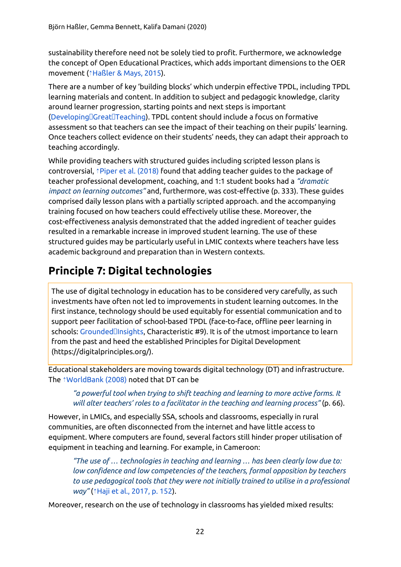sustainability therefore need not be solely tied to profit. Furthermore, we acknowledge the concept of Open Educational Practices, which adds important dimensions to the OER movement (⇡[Haßler](https://ref.opendeved.net/zo/zg/2129771/7/FY5V62YE/Ha%C3%9Fler%20&%20Mays,%202015) & Mays, 2015).

There are a number of key 'building blocks' which underpin effective TPDL, including TPDL learning materials and content. In addition to subject and pedagogic knowledge, clarity around learner progression, starting points and next steps is important ([DevelopingGreatTeaching\)](https://ref.opendeved.net/zo/zg/2129771/7/CKLKGP4I/Developing%E1%8E%93Great%E1%8E%93Teaching). TPDL content should include a focus on formative assessment so that teachers can see the impact of their teaching on their pupils' learning. Once teachers collect evidence on their students' needs, they can adapt their approach to teaching accordingly.

While providing teachers with structured guides including scripted lesson plans is controversial, ⇡Piper et al. [\(2018\)](https://ref.opendeved.net/zo/zg/2129771/7/3IIW96ZB/Piper%20et%20al.%20(2018)) found that adding teacher guides to the package of teacher professional development, coaching, and 1:1 student books had a *"dramatic impact on learning outcomes"* and, furthermore, was cost-effective (p. 333). These guides comprised daily lesson plans with a partially scripted approach. and the accompanying training focused on how teachers could effectively utilise these. Moreover, the cost-effectiveness analysis demonstrated that the added ingredient of teacher guides resulted in a remarkable increase in improved student learning. The use of these structured guides may be particularly useful in LMIC contexts where teachers have less academic background and preparation than in Western contexts.

### <span id="page-21-0"></span>**Principle 7: Digital technologies**

The use of digital technology in education has to be considered very carefully, as such investments have often not led to improvements in student learning outcomes. In the first instance, technology should be used equitably for essential communication and to support peer facilitation of school-based TPDL (face-to-face, offline peer learning in schools: GroundedDinsights, Characteristic #9). It is of the utmost importance to learn from the past and heed the established Principles for Digital Development (https://digitalprinciples.org/).

Educational stakeholders are moving towards digital technology (DT) and infrastructure. The ⇡[WorldBank](https://ref.opendeved.net/zo/zg/2129771/7/57X9GLID/WorldBank%20(2008)) (2008) noted that DT can be

#### *"a powerful tool when trying to shift teaching and learning to more active forms. It will alter teachers' roles to a facilitator in the teaching and learning process"* (p. 66).

However, in LMICs, and especially SSA, schools and classrooms, especially in rural communities, are often disconnected from the internet and have little access to equipment. Where computers are found, several factors still hinder proper utilisation of equipment in teaching and learning. For example, in Cameroon:

*"The use of … technologies in teaching and learning … has been clearly low due to: low confidence and low competencies of the teachers, formal opposition by teachers to use pedagogical tools that they were not initially trained to utilise in a professional way"* (⇡Haji et al., [2017,](https://ref.opendeved.net/zo/zg/2129771/7/37KUWFUV/Haji%20et%20al.,%202017,%20p.%20152) p. 152).

Moreover, research on the use of technology in classrooms has yielded mixed results: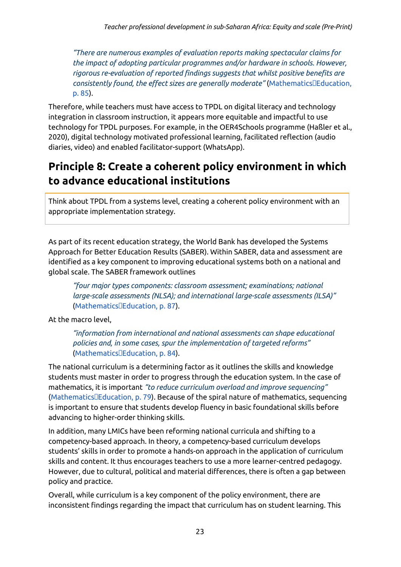*"There are numerous examples of evaluation reports making spectacular claims for the impact of adopting particular programmes and/or hardware in schools. However, rigorous re-evaluation of reported findings suggests that whilst positive benefits are consistently found, the effect sizes are generally moderate"* (Mathematics **Education**, p. [85](https://ref.opendeved.net/zo/zg/2129771/7/Q6AKLC6Z/Mathematics%E1%8E%93Education,%20p.%2085)).

Therefore, while teachers must have access to TPDL on digital literacy and technology integration in classroom instruction, it appears more equitable and impactful to use technology for TPDL purposes. For example, in the OER4Schools programme (Haßler et al., 2020), digital technology motivated professional learning, facilitated reflection (audio diaries, video) and enabled facilitator-support (WhatsApp).

### **Principle 8: Create a coherent policy environment in which to advance educational institutions**

Think about TPDL from a systems level, creating a coherent policy environment with an appropriate implementation strategy.

As part of its recent education strategy, the World Bank has developed the Systems Approach for Better Education Results (SABER). Within SABER, data and assessment are identified as a key component to improving educational systems both on a national and global scale. The SABER framework outlines

*"four major types components: classroom assessment; examinations; national large-scale assessments (NLSA); and international large-scale assessments (ILSA)"* ([MathematicsEducation,](https://ref.opendeved.net/zo/zg/2129771/7/Q6AKLC6Z/Mathematics%E1%8E%93Education,%20p.%2087) p. 87).

At the macro level,

*"information from international and national assessments can shape educational policies and, in some cases, spur the implementation of targeted reforms"* ([MathematicsEducation,](https://ref.opendeved.net/zo/zg/2129771/7/Q6AKLC6Z/Mathematics%E1%8E%93Education,%20p.%2084) p. 84).

The national curriculum is a determining factor as it outlines the skills and knowledge students must master in order to progress through the education system. In the case of mathematics, it is important *"to reduce curriculum overload and improve sequencing"* ([MathematicsEducation,](https://ref.opendeved.net/zo/zg/2129771/7/Q6AKLC6Z/Mathematics%E1%8E%93Education,%20p.%2079) p. 79). Because of the spiral nature of mathematics, sequencing is important to ensure that students develop fluency in basic foundational skills before advancing to higher-order thinking skills.

In addition, many LMICs have been reforming national curricula and shifting to a competency-based approach. In theory, a competency-based curriculum develops students' skills in order to promote a hands-on approach in the application of curriculum skills and content. It thus encourages teachers to use a more learner-centred pedagogy. However, due to cultural, political and material differences, there is often a gap between policy and practice.

Overall, while curriculum is a key component of the policy environment, there are inconsistent findings regarding the impact that curriculum has on student learning. This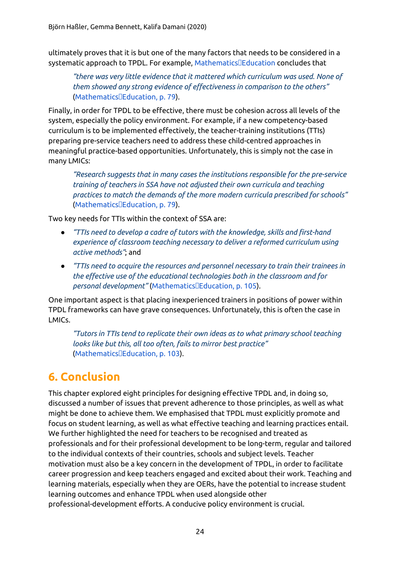ultimately proves that it is but one of the many factors that needs to be considered in a systematic approach to TPDL. For example, Mathematics<sup>IEducation</sup> concludes that

*"there was very little evidence that it mattered which curriculum was used. None of them showed any strong evidence of effectiveness in comparison to the others"* ([MathematicsEducation,](https://ref.opendeved.net/zo/zg/2129771/7/Q6AKLC6Z/Mathematics%E1%8E%93Education,%20p.%2079) p. 79).

Finally, in order for TPDL to be effective, there must be cohesion across all levels of the system, especially the policy environment. For example, if a new competency-based curriculum is to be implemented effectively, the teacher-training institutions (TTIs) preparing pre-service teachers need to address these child-centred approaches in meaningful practice-based opportunities. Unfortunately, this is simply not the case in many LMICs:

*"Research suggests that in many cases the institutions responsible for the pre-service training of teachers in SSA have not adjusted their own curricula and teaching practices to match the demands of the more modern curricula prescribed for schools"* ([MathematicsEducation,](https://ref.opendeved.net/zo/zg/2129771/7/Q6AKLC6Z/Mathematics%E1%8E%93Education,%20p.%2079) p. 79).

Two key needs for TTIs within the context of SSA are:

- *"TTIs need to develop a cadre of tutors with the knowledge, skills and first-hand experience of classroom teaching necessary to deliver a reformed curriculum using active methods"*; and
- *"TTIs need to acquire the resources and personnel necessary to train their trainees in the effective use of the educational technologies both in the classroom and for personal development"* ([MathematicsEducation,](https://ref.opendeved.net/zo/zg/2129771/7/Q6AKLC6Z/Mathematics%E1%8E%93Education,%20p.%20105) p. 105).

One important aspect is that placing inexperienced trainers in positions of power within TPDL frameworks can have grave consequences. Unfortunately, this is often the case in LMICs.

*"Tutors in TTIs tend to replicate their own ideas as to what primary school teaching looks like but this, all too often, fails to mirror best practice"* ([MathematicsEducation,](https://ref.opendeved.net/zo/zg/2129771/7/Q6AKLC6Z/Mathematics%E1%8E%93Education,%20p.%20103) p. 103).

## **6. Conclusion**

This chapter explored eight principles for designing effective TPDL and, in doing so, discussed a number of issues that prevent adherence to those principles, as well as what might be done to achieve them. We emphasised that TPDL must explicitly promote and focus on student learning, as well as what effective teaching and learning practices entail. We further highlighted the need for teachers to be recognised and treated as professionals and for their professional development to be long-term, regular and tailored to the individual contexts of their countries, schools and subject levels. Teacher motivation must also be a key concern in the development of TPDL, in order to facilitate career progression and keep teachers engaged and excited about their work. Teaching and learning materials, especially when they are OERs, have the potential to increase student learning outcomes and enhance TPDL when used alongside other professional-development efforts. A conducive policy environment is crucial.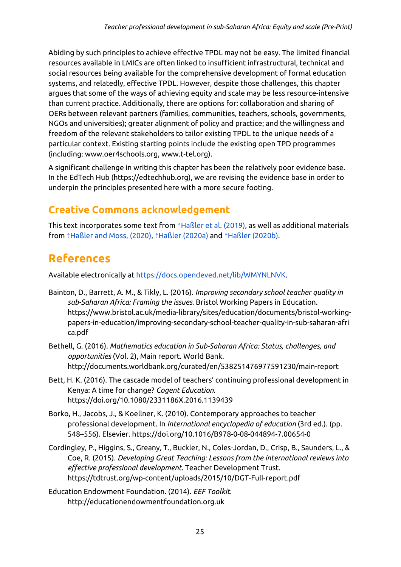Abiding by such principles to achieve effective TPDL may not be easy. The limited financial resources available in LMICs are often linked to insufficient infrastructural, technical and social resources being available for the comprehensive development of formal education systems, and relatedly, effective TPDL. However, despite those challenges, this chapter argues that some of the ways of achieving equity and scale may be less resource-intensive than current practice. Additionally, there are options for: collaboration and sharing of OERs between relevant partners (families, communities, teachers, schools, governments, NGOs and universities); greater alignment of policy and practice; and the willingness and freedom of the relevant stakeholders to tailor existing TPDL to the unique needs of a particular context. Existing starting points include the existing open TPD programmes (including: www.oer4schools.org, www.t-tel.org).

A significant challenge in writing this chapter has been the relatively poor evidence base. In the EdTech Hub (https://edtechhub.org), we are revising the evidence base in order to underpin the principles presented here with a more secure footing.

### **Creative Commons acknowledgement**

This text incorporates some text from *î* [Haßler](https://ref.opendeved.net/zo/zg/2129771/7/SC8FTPC4/Ha%C3%9Fler%20et%20al.%20(2019)) et al. (2019), as well as additional materials from *<u>†[Haßler](https://ref.opendeved.net/zo/zg/2129771/7/EHFUXJQC/Ha%C3%9Fler%20and%20Moss,%20(2020)) and Moss, (2020), †Haßler [\(2020a\)](https://ref.opendeved.net/zo/zg/2129771/7/UEUAKMXJ/Ha%C3%9Fler%20(2020a))</u>* and *†Haßler (2020b)*.

## **References**

Available electronically at [https://docs.opendeved.net/lib/WMYNLNVK.](https://docs.opendeved.net/lib/WMYNLNVK)

- Bainton, D., Barrett, A. M., & Tikly, L. (2016). *Improving secondary school teacher quality in sub-Saharan Africa: Framing the issues*. Bristol Working Papers in Education[.](https://www.bristol.ac.uk/media-library/sites/education/documents/bristol-working-papers-in-education/improving-secondary-school-teacher-quality-in-sub-saharan-africa.pdf) [https://www.bristol.ac.uk/media-library/sites/education/documents/bristol-working](https://www.bristol.ac.uk/media-library/sites/education/documents/bristol-working-papers-in-education/improving-secondary-school-teacher-quality-in-sub-saharan-africa.pdf)[papers-in-education/improving-secondary-school-teacher-quality-in-sub-saharan-afri](https://www.bristol.ac.uk/media-library/sites/education/documents/bristol-working-papers-in-education/improving-secondary-school-teacher-quality-in-sub-saharan-africa.pdf) [ca.pdf](https://www.bristol.ac.uk/media-library/sites/education/documents/bristol-working-papers-in-education/improving-secondary-school-teacher-quality-in-sub-saharan-africa.pdf)
- Bethell, G. (2016). *Mathematics education in Sub-Saharan Africa: Status, challenges, and opportunities* (Vol. 2), Main report. World Bank. http://documents.worldbank.org/curated/en/538251476977591230/main-report
- Bett, H. K. (2016). The cascade model of teachers' continuing professional development in Kenya: A time for change? *Cogent Education*. https://doi.org/10.1080/2331186X.2016.1139439
- Borko, H., Jacobs, J., & Koellner, K. (2010). Contemporary approaches to teacher professional development. In *International encyclopedia of education* (3rd ed.). (pp. 548–556). Elsevier. https://doi.org/10.1016/B978-0-08-044894-7.00654-0
- Cordingley, P., Higgins, S., Greany, T., Buckler, N., Coles-Jordan, D., Crisp, B., Saunders, L., & Coe, R. (2015). *Developing Great Teaching: Lessons from the international reviews into effective professional development*. Teacher Development Trust. https://tdtrust.org/wp-content/uploads/2015/10/DGT-Full-report.pdf

Education Endowment Foundation. (2014). *EEF Toolkit*. http://educationendowmentfoundation.org.uk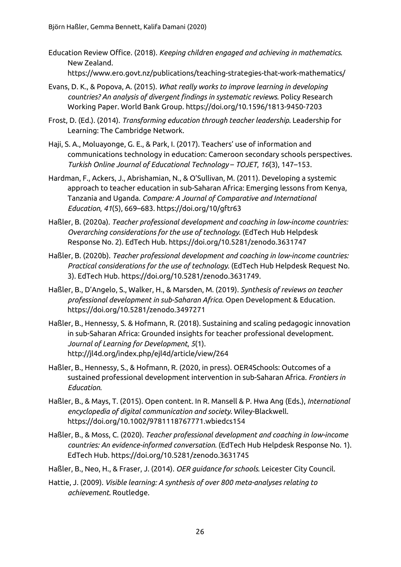- Education Review Office. (2018). *Keeping children engaged and achieving in mathematics*. New Zealand[.](https://www.ero.govt.nz/publications/teaching-strategies-that-work-mathematics/) <https://www.ero.govt.nz/publications/teaching-strategies-that-work-mathematics/>
- Evans, D. K., & Popova, A. (2015). *What really works to improve learning in developing countries? An analysis of divergent findings in systematic reviews*. Policy Research Working Paper. World Bank Group. https://doi.org/10.1596/1813-9450-7203
- Frost, D. (Ed.). [\(2014\).](https://www.ero.govt.nz/publications/teaching-strategies-that-work-mathematics/) *Transforming education through teacher leadership*. Leadership for Learning: The Cambridge Network.
- Haji, S. A., Moluayonge, G. E., & Park, I. (2017). Teachers' use of information and communications technology in education: Cameroon secondary schools perspectives. *Turkish Online Journal of Educational Technology* – *TOJET*, *16*(3), 147–153.
- Hardman, F., Ackers, J., Abrishamian, N., & O'Sullivan, M. (2011). Developing a systemic approach to teacher education in sub-Saharan Africa: Emerging lessons from Kenya, Tanzania and Uganda. *Compare: A Journal of Comparative and International Education*, *41*(5), 669–683. <https://doi.org/10/gftr63>
- Haßler, B. (2020a). *Teacher professional development and coaching in low-income countries: Overarching considerations for the use of technology*. (EdTech Hub Helpdesk Response No. 2). EdTech Hub. <https://doi.org/10.5281/zenodo.3631747>
- Haßler, B. (2020b). *Teacher professional development and coaching in low-income countries: Practical considerations for the use of technology*. (EdTech Hub Helpdesk Request No. 3). EdTech Hub. <https://doi.org/10.5281/zenodo.3631749>.
- Haßler, B., D'Angelo, S., Walker, H., & Marsden, M. (2019). *Synthesis of reviews on teacher professional development in sub-Saharan Africa*. Open Development & Education[.](https://doi.org/10.5281/zenodo.3497271) <https://doi.org/10.5281/zenodo.3497271>
- Haßler, B., Hennessy, S. & Hofmann, R. (2018). Sustaining and scaling pedagogic innovation in sub-Saharan Africa: Grounded insights for teacher professional development. *Journal of Learning for Development*, *5*(1). <http://jl4d.org/index.php/ejl4d/article/view/264>
- Haßler, B., Hennessy, S., & Hofmann, R. (2020, in press). OER4Schools: Outcomes of a sustained professional development intervention in sub-Saharan Africa. *Frontiers in Education*.
- Haßler, B., & Mays, T. (2015). Open content. In R. Mansell & P. Hwa Ang (Eds.), *International encyclopedia of digital communication and society*. Wiley-Blackwell. https://doi.org/10.1002/9781118767771.wbiedcs154
- Haßler, B., & Moss, C. (2020). *Teacher professional development and coaching in low-income countries: An evidence-informed conversation*. (EdTech Hub Helpdesk Response No. 1). EdTech Hub. <https://doi.org/10.5281/zenodo.3631745>
- Haßler, B., Neo, H., & Fraser, J. (2014). *OER guidance for schools*. Leicester City Council.
- Hattie, J. (2009). *Visible learning: A synthesis of over 800 meta-analyses relating to achievement*. Routledge.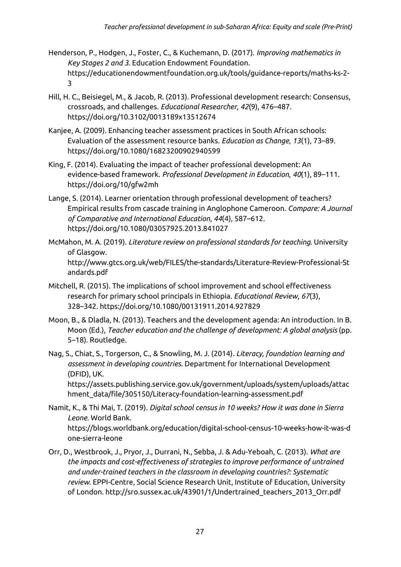- Henderson, P., Hodgen, J., Foster, C., & Kuchemann, D. (2017). *Improving mathematics in Key Stages 2 and 3*. Education Endowment Foundation. https://educationendowmentfoundation.org.uk/tools/guidance-reports/maths-ks-2- 3
- Hill, H. C., Beisiegel, M., & Jacob, R. (2013). Professional development research: Consensus, crossroads, and challenges. *Educational Researcher*, *42*(9), 476–487. https://doi.org/10.3102/0013189x13512674
- Kanjee, A. (2009). Enhancing teacher assessment practices in South African schools: Evaluation of the assessment resource banks. *Education as Change*, *13*(1), 73–89. https://doi.org/10.1080/16823200902940599
- King, F. (2014). Evaluating the impact of teacher professional [development:](https://reliefweb.int/sites/reliefweb.int/files/resources/C3D18352323FC4EC492577F200054B48-Full_Report.pdf) An [evidence-based](https://reliefweb.int/sites/reliefweb.int/files/resources/C3D18352323FC4EC492577F200054B48-Full_Report.pdf) framework. *Professional Development in Education*, *40*(1), 89–111[.](https://doi.org/10/gfw2mh) <https://doi.org/10/gfw2mh>
- Lange, S. (2014). Learner orientation through professional [development](https://doi.org/10/gfw2mh) of teachers? Empirical results from cascade training in [Anglophone](https://doi.org/10/gfw2mh) Cameroon. *Compare: A Journal of Comparative and International Education*, *44*(4), 587–612[.](https://doi.org/10/gfvv7x) [https://doi.org/10.1080/03057925.2013.841027](https://doi.org/10/gfvv7x)
- [McMahon,](https://doi.org/10/gfvv7x) M. A. (2019). *Literature review on professional standards for teaching*. University of Glasgow. http://www.gtcs.org.uk/web/FILES/the-standards/Literature-Review-Professional-St andards.pdf
- Mitchell, R. (2015). The implications of school improvement and school effectiveness research for primary school principals in Ethiopia. *Educational Review*, *67*(3), 328–342. https://doi.org/10.1080/00131911.2014.927829
- Moon, B., & Dladla, N. (2013). Teachers and the development agenda: An introduction. In B. Moon (Ed.), *Teacher education and the challenge of development: A global analysis* (pp. 5–18). Routledge.
- Nag, S., Chiat, S., Torgerson, C., & Snowling, M. J. (2014). *Literacy, foundation learning and assessment in developing countries*. Department for International Development (DFID), UK.

https://assets.publishing.service.gov.uk/government/uploads/system/uploads/attac hment\_data/file/305150/Literacy-foundation-learning-assessment.pdf

- Namit, K., & Thi Mai, T. (2019). *Digital school census in 10 weeks? How it was done in Sierra Leone*. World Bank. https://blogs.worldbank.org/education/digital-school-census-10-weeks-how-it-was-d one-sierra-leone
- Orr, D., Westbrook, J., Pryor, J., Durrani, N., Sebba, J. & Adu-Yeboah, C. (2013). *What are the impacts and cost-effectiveness of strategies to improve performance of untrained and under-trained teachers in the classroom in developing countries?: Systematic review*. EPPI-Centre, Social Science Research Unit, Institute of Education, University of London. http://sro.sussex.ac.uk/43901/1/Undertrained\_teachers\_2013\_Orr.pdf